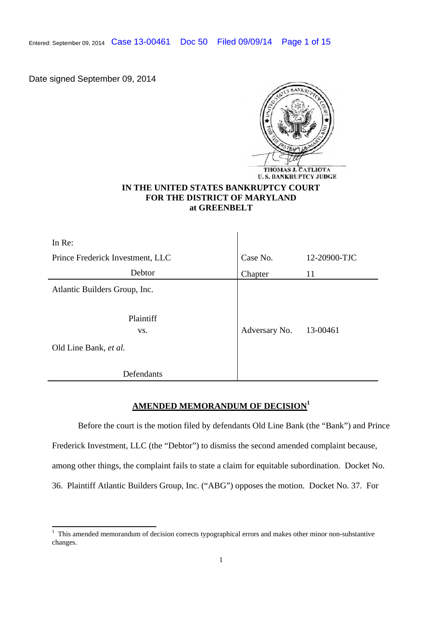Entered: September 09, 2014 Case 13-00461 Doc 50 Filed 09/09/14 Page 1 of 15

Date signed September 09, 2014



# **IN THE UNITED STATES BANKRUPTCY COURT FOR THE DISTRICT OF MARYLAND at GREENBELT**

 $\mathbf{I}$ 

| In Re:                           |               |              |
|----------------------------------|---------------|--------------|
| Prince Frederick Investment, LLC | Case No.      | 12-20900-TJC |
| Debtor                           | Chapter       | 11           |
| Atlantic Builders Group, Inc.    |               |              |
| Plaintiff<br>VS.                 | Adversary No. | 13-00461     |
| Old Line Bank, et al.            |               |              |
| Defendants                       |               |              |

# **AMENDED MEMORANDUM OF DECISION<sup>1</sup>**

Before the court is the motion filed by defendants Old Line Bank (the "Bank") and Prince Frederick Investment, LLC (the "Debtor") to dismiss the second amended complaint because, among other things, the complaint fails to state a claim for equitable subordination. Docket No. 36. Plaintiff Atlantic Builders Group, Inc. ("ABG") opposes the motion. Docket No. 37. For

<sup>&</sup>lt;sup>1</sup> This amended memorandum of decision corrects typographical errors and makes other minor non-substantive changes.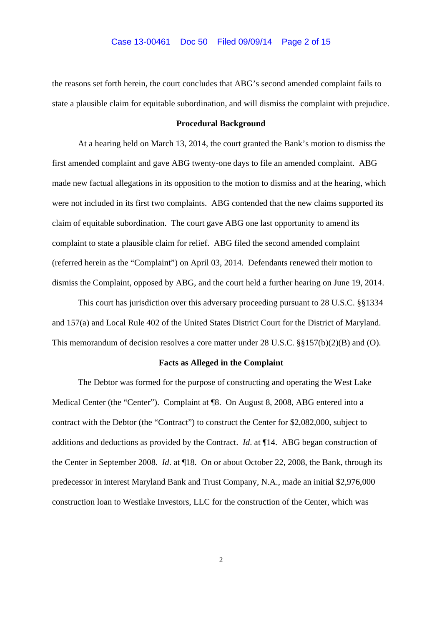the reasons set forth herein, the court concludes that ABG's second amended complaint fails to state a plausible claim for equitable subordination, and will dismiss the complaint with prejudice.

#### **Procedural Background**

At a hearing held on March 13, 2014, the court granted the Bank's motion to dismiss the first amended complaint and gave ABG twenty-one days to file an amended complaint. ABG made new factual allegations in its opposition to the motion to dismiss and at the hearing, which were not included in its first two complaints. ABG contended that the new claims supported its claim of equitable subordination. The court gave ABG one last opportunity to amend its complaint to state a plausible claim for relief. ABG filed the second amended complaint (referred herein as the "Complaint") on April 03, 2014. Defendants renewed their motion to dismiss the Complaint, opposed by ABG, and the court held a further hearing on June 19, 2014.

This court has jurisdiction over this adversary proceeding pursuant to 28 U.S.C. §§1334 and 157(a) and Local Rule 402 of the United States District Court for the District of Maryland. This memorandum of decision resolves a core matter under 28 U.S.C. §§157(b)(2)(B) and (O).

#### **Facts as Alleged in the Complaint**

The Debtor was formed for the purpose of constructing and operating the West Lake Medical Center (the "Center"). Complaint at ¶8. On August 8, 2008, ABG entered into a contract with the Debtor (the "Contract") to construct the Center for \$2,082,000, subject to additions and deductions as provided by the Contract. *Id*. at ¶14. ABG began construction of the Center in September 2008. *Id*. at ¶18. On or about October 22, 2008, the Bank, through its predecessor in interest Maryland Bank and Trust Company, N.A., made an initial \$2,976,000 construction loan to Westlake Investors, LLC for the construction of the Center, which was

 $\overline{2}$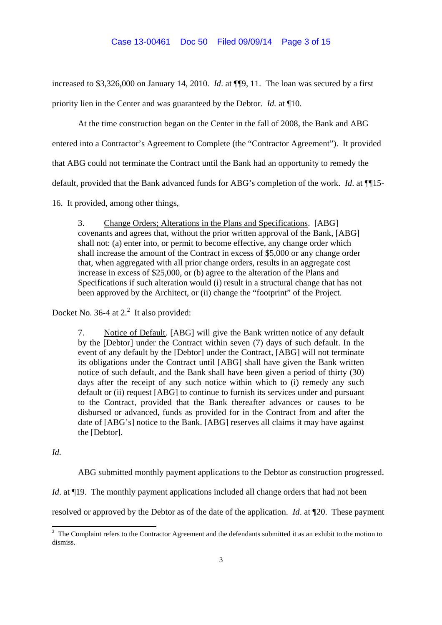increased to \$3,326,000 on January 14, 2010. *Id*. at ¶¶9, 11. The loan was secured by a first

priority lien in the Center and was guaranteed by the Debtor. *Id.* at ¶10.

At the time construction began on the Center in the fall of 2008, the Bank and ABG

entered into a Contractor's Agreement to Complete (the "Contractor Agreement"). It provided

that ABG could not terminate the Contract until the Bank had an opportunity to remedy the

default, provided that the Bank advanced funds for ABG's completion of the work. *Id.* at  $\P$ <sup>15</sup>-

16. It provided, among other things,

3. Change Orders; Alterations in the Plans and Specifications. [ABG] covenants and agrees that, without the prior written approval of the Bank, [ABG] shall not: (a) enter into, or permit to become effective, any change order which shall increase the amount of the Contract in excess of \$5,000 or any change order that, when aggregated with all prior change orders, results in an aggregate cost increase in excess of \$25,000, or (b) agree to the alteration of the Plans and Specifications if such alteration would (i) result in a structural change that has not been approved by the Architect, or (ii) change the "footprint" of the Project.

Docket No. 36-4 at  $2<sup>2</sup>$  It also provided:

7. Notice of Default. [ABG] will give the Bank written notice of any default by the [Debtor] under the Contract within seven (7) days of such default. In the event of any default by the [Debtor] under the Contract, [ABG] will not terminate its obligations under the Contract until [ABG] shall have given the Bank written notice of such default, and the Bank shall have been given a period of thirty (30) days after the receipt of any such notice within which to (i) remedy any such default or (ii) request [ABG] to continue to furnish its services under and pursuant to the Contract, provided that the Bank thereafter advances or causes to be disbursed or advanced, funds as provided for in the Contract from and after the date of [ABG's] notice to the Bank. [ABG] reserves all claims it may have against the [Debtor].

*Id.*

ABG submitted monthly payment applications to the Debtor as construction progressed.

*Id.* at ¶19. The monthly payment applications included all change orders that had not been

resolved or approved by the Debtor as of the date of the application. *Id*. at ¶20. These payment

<sup>&</sup>lt;sup>2</sup> The Complaint refers to the Contractor Agreement and the defendants submitted it as an exhibit to the motion to dismiss.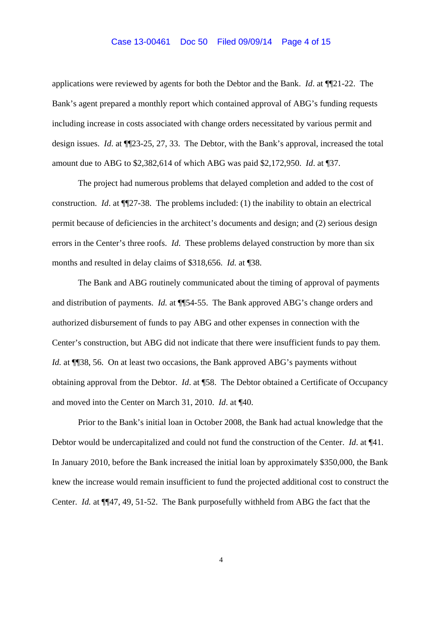#### Case 13-00461 Doc 50 Filed 09/09/14 Page 4 of 15

applications were reviewed by agents for both the Debtor and the Bank. *Id*. at ¶¶21-22. The Bank's agent prepared a monthly report which contained approval of ABG's funding requests including increase in costs associated with change orders necessitated by various permit and design issues. *Id*. at ¶¶23-25, 27, 33. The Debtor, with the Bank's approval, increased the total amount due to ABG to \$2,382,614 of which ABG was paid \$2,172,950. *Id*. at ¶37.

The project had numerous problems that delayed completion and added to the cost of construction. *Id*. at ¶¶27-38. The problems included: (1) the inability to obtain an electrical permit because of deficiencies in the architect's documents and design; and (2) serious design errors in the Center's three roofs. *Id*. These problems delayed construction by more than six months and resulted in delay claims of \$318,656. *Id.* at ¶38.

The Bank and ABG routinely communicated about the timing of approval of payments and distribution of payments. *Id.* at ¶¶54-55. The Bank approved ABG's change orders and authorized disbursement of funds to pay ABG and other expenses in connection with the Center's construction, but ABG did not indicate that there were insufficient funds to pay them. *Id.* at ¶[38, 56. On at least two occasions, the Bank approved ABG's payments without obtaining approval from the Debtor. *Id*. at ¶58. The Debtor obtained a Certificate of Occupancy and moved into the Center on March 31, 2010. *Id*. at ¶40.

Prior to the Bank's initial loan in October 2008, the Bank had actual knowledge that the Debtor would be undercapitalized and could not fund the construction of the Center. *Id*. at ¶41. In January 2010, before the Bank increased the initial loan by approximately \$350,000, the Bank knew the increase would remain insufficient to fund the projected additional cost to construct the Center. *Id.* at ¶¶47, 49, 51-52. The Bank purposefully withheld from ABG the fact that the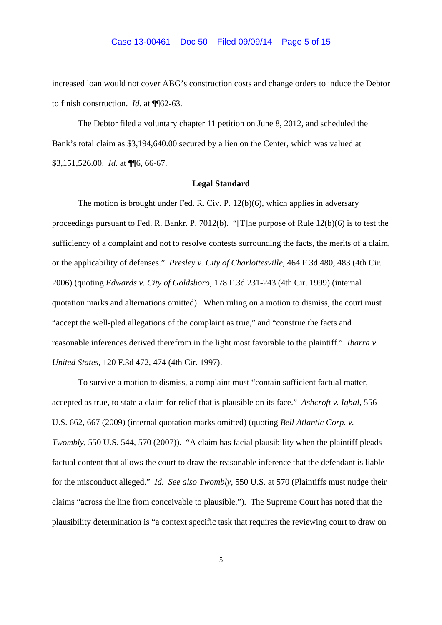#### Case 13-00461 Doc 50 Filed 09/09/14 Page 5 of 15

increased loan would not cover ABG's construction costs and change orders to induce the Debtor to finish construction. *Id*. at ¶¶62-63.

The Debtor filed a voluntary chapter 11 petition on June 8, 2012, and scheduled the Bank's total claim as \$3,194,640.00 secured by a lien on the Center, which was valued at \$3,151,526.00. *Id*. at ¶¶6, 66-67.

## **Legal Standard**

The motion is brought under Fed. R. Civ. P. 12(b)(6), which applies in adversary proceedings pursuant to Fed. R. Bankr. P. 7012(b). "[T]he purpose of Rule 12(b)(6) is to test the sufficiency of a complaint and not to resolve contests surrounding the facts, the merits of a claim, or the applicability of defenses." *Presley v. City of Charlottesville*, 464 F.3d 480, 483 (4th Cir. 2006) (quoting *Edwards v. City of Goldsboro*, 178 F.3d 231-243 (4th Cir. 1999) (internal quotation marks and alternations omitted). When ruling on a motion to dismiss, the court must "accept the well-pled allegations of the complaint as true," and "construe the facts and reasonable inferences derived therefrom in the light most favorable to the plaintiff." *Ibarra v. United States*, 120 F.3d 472, 474 (4th Cir. 1997).

To survive a motion to dismiss, a complaint must "contain sufficient factual matter, accepted as true, to state a claim for relief that is plausible on its face." *Ashcroft v. Iqbal*, 556 U.S. 662, 667 (2009) (internal quotation marks omitted) (quoting *Bell Atlantic Corp. v. Twombly*, 550 U.S. 544, 570 (2007)). "A claim has facial plausibility when the plaintiff pleads factual content that allows the court to draw the reasonable inference that the defendant is liable for the misconduct alleged." *Id. See also Twombly,* 550 U.S. at 570 (Plaintiffs must nudge their claims "across the line from conceivable to plausible."). The Supreme Court has noted that the plausibility determination is "a context specific task that requires the reviewing court to draw on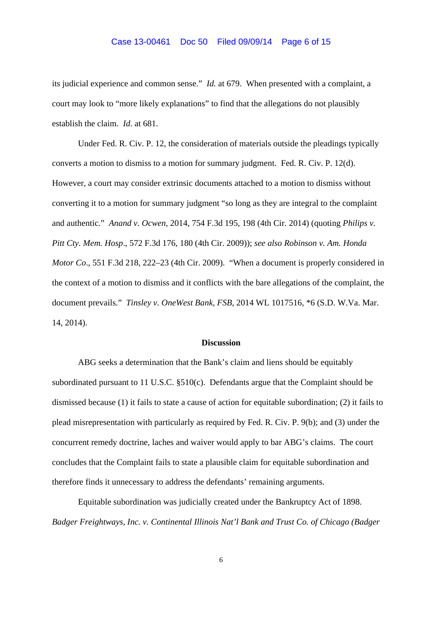#### Case 13-00461 Doc 50 Filed 09/09/14 Page 6 of 15

its judicial experience and common sense." *Id.* at 679. When presented with a complaint, a court may look to "more likely explanations" to find that the allegations do not plausibly establish the claim. *Id*. at 681.

Under Fed. R. Civ. P. 12, the consideration of materials outside the pleadings typically converts a motion to dismiss to a motion for summary judgment. Fed. R. Civ. P. 12(d). However, a court may consider extrinsic documents attached to a motion to dismiss without converting it to a motion for summary judgment "so long as they are integral to the complaint and authentic." *Anand v. Ocwen*, 2014, 754 F.3d 195, 198 (4th Cir. 2014) (quoting *Philips v. Pitt Cty. Mem. Hosp*., 572 F.3d 176, 180 (4th Cir. 2009)); *see also Robinson v. Am. Honda Motor Co*., 551 F.3d 218, 222–23 (4th Cir. 2009). "When a document is properly considered in the context of a motion to dismiss and it conflicts with the bare allegations of the complaint, the document prevails." *Tinsley v. OneWest Bank, FSB*, 2014 WL 1017516, \*6 (S.D. W.Va. Mar. 14, 2014).

## **Discussion**

ABG seeks a determination that the Bank's claim and liens should be equitably subordinated pursuant to 11 U.S.C. §510(c). Defendants argue that the Complaint should be dismissed because (1) it fails to state a cause of action for equitable subordination; (2) it fails to plead misrepresentation with particularly as required by Fed. R. Civ. P. 9(b); and (3) under the concurrent remedy doctrine, laches and waiver would apply to bar ABG's claims. The court concludes that the Complaint fails to state a plausible claim for equitable subordination and therefore finds it unnecessary to address the defendants' remaining arguments.

Equitable subordination was judicially created under the Bankruptcy Act of 1898. *Badger Freightways, Inc. v. Continental Illinois Nat'l Bank and Trust Co. of Chicago (Badger*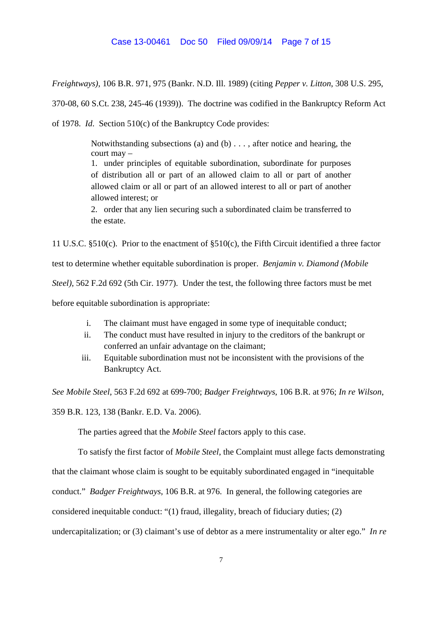## Case 13-00461 Doc 50 Filed 09/09/14 Page 7 of 15

*Freightways)*, 106 B.R. 971, 975 (Bankr. N.D. Ill. 1989) (citing *Pepper v. Litton*, 308 U.S. 295,

370-08, 60 S.Ct. 238, 245-46 (1939)). The doctrine was codified in the Bankruptcy Reform Act

of 1978. *Id*. Section 510(c) of the Bankruptcy Code provides:

Notwithstanding subsections (a) and (b)  $\dots$ , after notice and hearing, the court may –

1. under principles of equitable subordination, subordinate for purposes of distribution all or part of an allowed claim to all or part of another allowed claim or all or part of an allowed interest to all or part of another allowed interest; or

2. order that any lien securing such a subordinated claim be transferred to the estate.

11 U.S.C. §510(c). Prior to the enactment of §510(c), the Fifth Circuit identified a three factor test to determine whether equitable subordination is proper. *Benjamin v. Diamond (Mobile*

*Steel)*, 562 F.2d 692 (5th Cir. 1977). Under the test, the following three factors must be met

before equitable subordination is appropriate:

- i. The claimant must have engaged in some type of inequitable conduct;
- ii. The conduct must have resulted in injury to the creditors of the bankrupt or conferred an unfair advantage on the claimant;
- iii. Equitable subordination must not be inconsistent with the provisions of the Bankruptcy Act.

*See Mobile Steel*, 563 F.2d 692 at 699-700; *Badger Freightways*, 106 B.R. at 976; *In re Wilson*,

359 B.R. 123, 138 (Bankr. E.D. Va. 2006).

The parties agreed that the *Mobile Steel* factors apply to this case.

To satisfy the first factor of *Mobile Steel*, the Complaint must allege facts demonstrating

that the claimant whose claim is sought to be equitably subordinated engaged in "inequitable

conduct." *Badger Freightways*, 106 B.R. at 976. In general, the following categories are

considered inequitable conduct: "(1) fraud, illegality, breach of fiduciary duties; (2)

undercapitalization; or (3) claimant's use of debtor as a mere instrumentality or alter ego." *In re*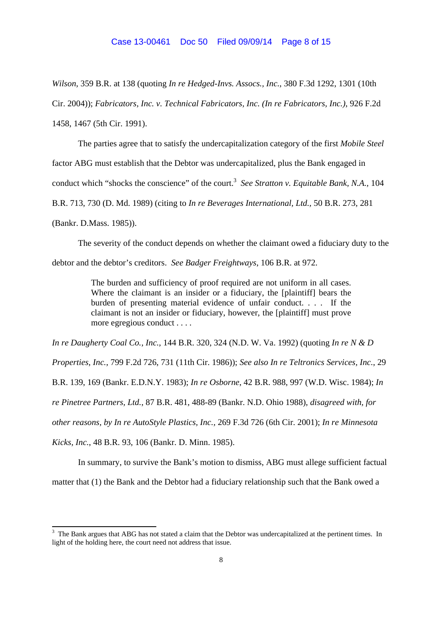### Case 13-00461 Doc 50 Filed 09/09/14 Page 8 of 15

*Wilson*, 359 B.R. at 138 (quoting *In re Hedged-Invs. Assocs., Inc.,* 380 F.3d 1292, 1301 (10th Cir. 2004)); *Fabricators, Inc. v. Technical Fabricators, Inc. (In re Fabricators, Inc.)*, 926 F.2d 1458, 1467 (5th Cir. 1991).

The parties agree that to satisfy the undercapitalization category of the first *Mobile Steel* factor ABG must establish that the Debtor was undercapitalized, plus the Bank engaged in conduct which "shocks the conscience" of the court.<sup>3</sup> See Stratton v. Equitable Bank, N.A., 104 B.R. 713, 730 (D. Md. 1989) (citing to *In re Beverages International, Ltd.,* 50 B.R. 273, 281 (Bankr. D.Mass. 1985)).

The severity of the conduct depends on whether the claimant owed a fiduciary duty to the debtor and the debtor's creditors. *See Badger Freightways*, 106 B.R. at 972.

> The burden and sufficiency of proof required are not uniform in all cases. Where the claimant is an insider or a fiduciary, the [plaintiff] bears the burden of presenting material evidence of unfair conduct. . . . If the claimant is not an insider or fiduciary, however, the [plaintiff] must prove more egregious conduct . . . .

*In re Daugherty Coal Co., Inc.,* 144 B.R. 320, 324 (N.D. W. Va. 1992) (quoting *In re N & D*

*Properties, Inc.*, 799 F.2d 726, 731 (11th Cir. 1986)); *See also In re Teltronics Services, Inc.*, 29

B.R. 139, 169 (Bankr. E.D.N.Y. 1983); *In re Osborne*, 42 B.R. 988, 997 (W.D. Wisc. 1984); *In*

*re Pinetree Partners, Ltd.*, 87 B.R. 481, 488-89 (Bankr. N.D. Ohio 1988), *disagreed with, for*

*other reasons, by In re AutoStyle Plastics, Inc.,* 269 F.3d 726 (6th Cir. 2001); *In re Minnesota*

*Kicks, Inc.*, 48 B.R. 93, 106 (Bankr. D. Minn. 1985).

In summary, to survive the Bank's motion to dismiss, ABG must allege sufficient factual matter that (1) the Bank and the Debtor had a fiduciary relationship such that the Bank owed a

<sup>&</sup>lt;sup>3</sup> The Bank argues that ABG has not stated a claim that the Debtor was undercapitalized at the pertinent times. In light of the holding here, the court need not address that issue.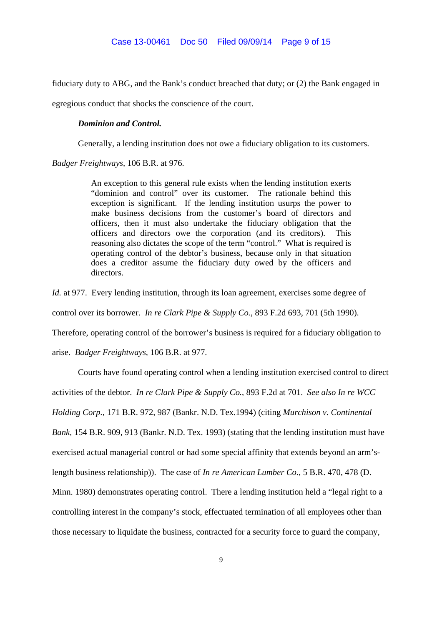fiduciary duty to ABG, and the Bank's conduct breached that duty; or (2) the Bank engaged in

egregious conduct that shocks the conscience of the court.

## *Dominion and Control.*

Generally, a lending institution does not owe a fiduciary obligation to its customers.

*Badger Freightways,* 106 B.R. at 976.

An exception to this general rule exists when the lending institution exerts "dominion and control" over its customer. The rationale behind this exception is significant. If the lending institution usurps the power to make business decisions from the customer's board of directors and officers, then it must also undertake the fiduciary obligation that the officers and directors owe the corporation (and its creditors). This reasoning also dictates the scope of the term "control." What is required is operating control of the debtor's business, because only in that situation does a creditor assume the fiduciary duty owed by the officers and directors.

*Id.* at 977. Every lending institution, through its loan agreement, exercises some degree of control over its borrower. *In re Clark Pipe & Supply Co.*, 893 F.2d 693, 701 (5th 1990). Therefore, operating control of the borrower's business is required for a fiduciary obligation to

arise. *Badger Freightways,* 106 B.R. at 977.

Courts have found operating control when a lending institution exercised control to direct activities of the debtor. *In re Clark Pipe & Supply Co.*, 893 F.2d at 701. *See also In re WCC Holding Corp.*, 171 B.R. 972, 987 (Bankr. N.D. Tex.1994) (citing *Murchison v. Continental Bank,* 154 B.R. 909, 913 (Bankr. N.D. Tex. 1993) (stating that the lending institution must have exercised actual managerial control or had some special affinity that extends beyond an arm'slength business relationship)). The case of *In re American Lumber Co.*, 5 B.R. 470, 478 (D. Minn. 1980) demonstrates operating control. There a lending institution held a "legal right to a controlling interest in the company's stock, effectuated termination of all employees other than those necessary to liquidate the business, contracted for a security force to guard the company,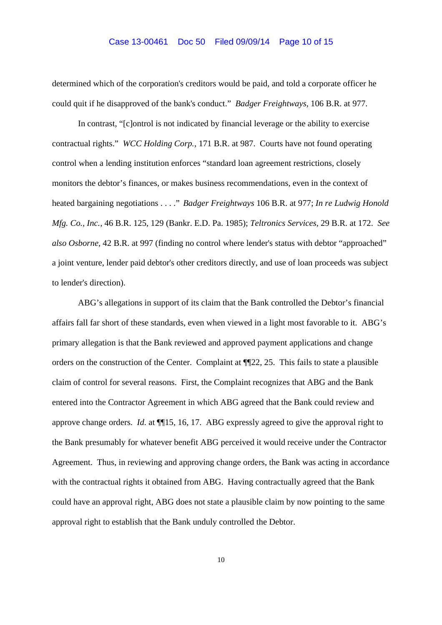## Case 13-00461 Doc 50 Filed 09/09/14 Page 10 of 15

determined which of the corporation's creditors would be paid, and told a corporate officer he could quit if he disapproved of the bank's conduct." *Badger Freightways,* 106 B.R. at 977.

In contrast, "[c]ontrol is not indicated by financial leverage or the ability to exercise contractual rights." *WCC Holding Corp.*, 171 B.R. at 987. Courts have not found operating control when a lending institution enforces "standard loan agreement restrictions, closely monitors the debtor's finances, or makes business recommendations, even in the context of heated bargaining negotiations . . . ." *Badger Freightways* 106 B.R. at 977; *In re Ludwig Honold Mfg. Co., Inc.,* 46 B.R. 125, 129 (Bankr. E.D. Pa. 1985); *Teltronics Services,* 29 B.R. at 172. *See also Osborne,* 42 B.R. at 997 (finding no control where lender's status with debtor "approached" a joint venture, lender paid debtor's other creditors directly, and use of loan proceeds was subject to lender's direction).

ABG's allegations in support of its claim that the Bank controlled the Debtor's financial affairs fall far short of these standards, even when viewed in a light most favorable to it. ABG's primary allegation is that the Bank reviewed and approved payment applications and change orders on the construction of the Center. Complaint at ¶¶22, 25. This fails to state a plausible claim of control for several reasons. First, the Complaint recognizes that ABG and the Bank entered into the Contractor Agreement in which ABG agreed that the Bank could review and approve change orders. *Id*. at ¶¶15, 16, 17. ABG expressly agreed to give the approval right to the Bank presumably for whatever benefit ABG perceived it would receive under the Contractor Agreement. Thus, in reviewing and approving change orders, the Bank was acting in accordance with the contractual rights it obtained from ABG. Having contractually agreed that the Bank could have an approval right, ABG does not state a plausible claim by now pointing to the same approval right to establish that the Bank unduly controlled the Debtor.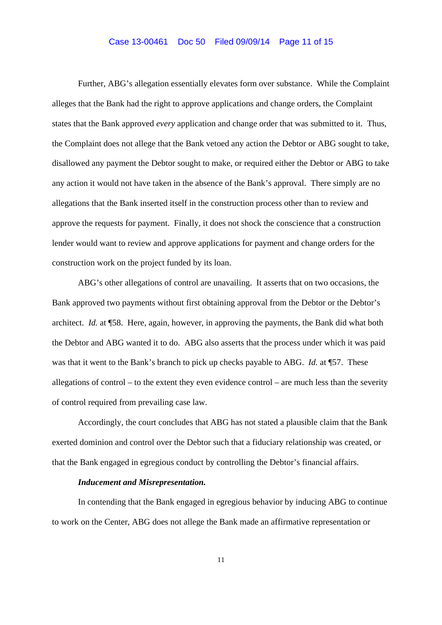## Case 13-00461 Doc 50 Filed 09/09/14 Page 11 of 15

Further, ABG's allegation essentially elevates form over substance. While the Complaint alleges that the Bank had the right to approve applications and change orders, the Complaint states that the Bank approved *every* application and change order that was submitted to it. Thus, the Complaint does not allege that the Bank vetoed any action the Debtor or ABG sought to take, disallowed any payment the Debtor sought to make, or required either the Debtor or ABG to take any action it would not have taken in the absence of the Bank's approval. There simply are no allegations that the Bank inserted itself in the construction process other than to review and approve the requests for payment. Finally, it does not shock the conscience that a construction lender would want to review and approve applications for payment and change orders for the construction work on the project funded by its loan.

ABG's other allegations of control are unavailing. It asserts that on two occasions, the Bank approved two payments without first obtaining approval from the Debtor or the Debtor's architect. *Id.* at ¶58. Here, again, however, in approving the payments, the Bank did what both the Debtor and ABG wanted it to do. ABG also asserts that the process under which it was paid was that it went to the Bank's branch to pick up checks payable to ABG. *Id.* at ¶57. These allegations of control – to the extent they even evidence control – are much less than the severity of control required from prevailing case law.

Accordingly, the court concludes that ABG has not stated a plausible claim that the Bank exerted dominion and control over the Debtor such that a fiduciary relationship was created, or that the Bank engaged in egregious conduct by controlling the Debtor's financial affairs.

#### *Inducement and Misrepresentation.*

In contending that the Bank engaged in egregious behavior by inducing ABG to continue to work on the Center, ABG does not allege the Bank made an affirmative representation or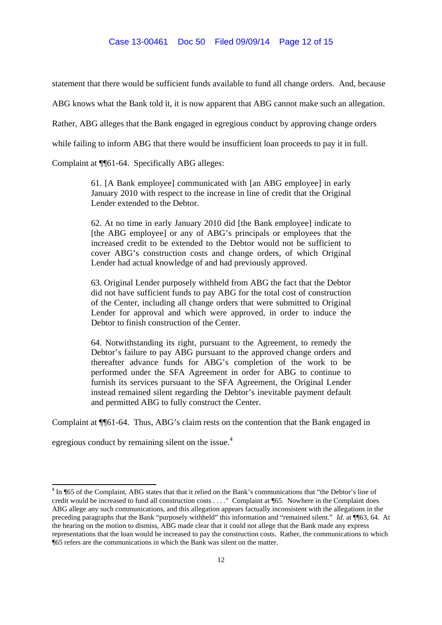## Case 13-00461 Doc 50 Filed 09/09/14 Page 12 of 15

statement that there would be sufficient funds available to fund all change orders. And, because

ABG knows what the Bank told it, it is now apparent that ABG cannot make such an allegation.

Rather, ABG alleges that the Bank engaged in egregious conduct by approving change orders

while failing to inform ABG that there would be insufficient loan proceeds to pay it in full.

Complaint at ¶¶61-64. Specifically ABG alleges:

61. [A Bank employee] communicated with [an ABG employee] in early January 2010 with respect to the increase in line of credit that the Original Lender extended to the Debtor.

62. At no time in early January 2010 did [the Bank employee] indicate to [the ABG employee] or any of ABG's principals or employees that the increased credit to be extended to the Debtor would not be sufficient to cover ABG's construction costs and change orders, of which Original Lender had actual knowledge of and had previously approved.

63. Original Lender purposely withheld from ABG the fact that the Debtor did not have sufficient funds to pay ABG for the total cost of construction of the Center, including all change orders that were submitted to Original Lender for approval and which were approved, in order to induce the Debtor to finish construction of the Center.

64. Notwithstanding its right, pursuant to the Agreement, to remedy the Debtor's failure to pay ABG pursuant to the approved change orders and thereafter advance funds for ABG's completion of the work to be performed under the SFA Agreement in order for ABG to continue to furnish its services pursuant to the SFA Agreement, the Original Lender instead remained silent regarding the Debtor's inevitable payment default and permitted ABG to fully construct the Center.

Complaint at ¶¶61-64. Thus, ABG's claim rests on the contention that the Bank engaged in

egregious conduct by remaining silent on the issue.<sup>4</sup>

<sup>&</sup>lt;sup>4</sup> In ¶65 of the Complaint, ABG states that that it relied on the Bank's communications that "the Debtor's line of credit would be increased to fund all construction costs . . . ." Complaint at ¶65. Nowhere in the Complaint does ABG allege any such communications, and this allegation appears factually inconsistent with the allegations in the preceding paragraphs that the Bank "purposely withheld" this information and "remained silent." *Id.* at ¶63, 64. At the hearing on the motion to dismiss, ABG made clear that it could not allege that the Bank made any express representations that the loan would be increased to pay the construction costs. Rather, the communications to which ¶65 refers are the communications in which the Bank was silent on the matter.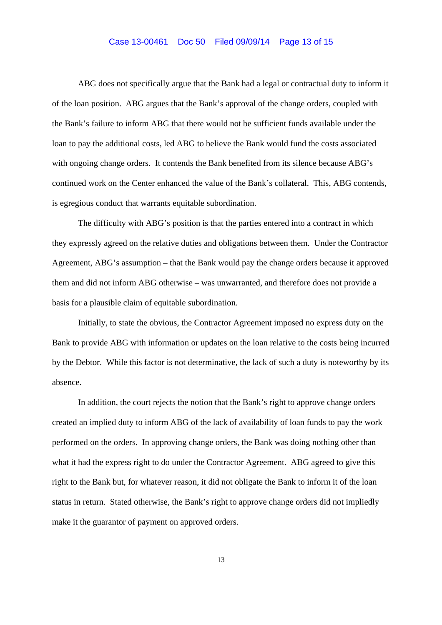## Case 13-00461 Doc 50 Filed 09/09/14 Page 13 of 15

ABG does not specifically argue that the Bank had a legal or contractual duty to inform it of the loan position. ABG argues that the Bank's approval of the change orders, coupled with the Bank's failure to inform ABG that there would not be sufficient funds available under the loan to pay the additional costs, led ABG to believe the Bank would fund the costs associated with ongoing change orders. It contends the Bank benefited from its silence because ABG's continued work on the Center enhanced the value of the Bank's collateral. This, ABG contends, is egregious conduct that warrants equitable subordination.

The difficulty with ABG's position is that the parties entered into a contract in which they expressly agreed on the relative duties and obligations between them. Under the Contractor Agreement, ABG's assumption – that the Bank would pay the change orders because it approved them and did not inform ABG otherwise – was unwarranted, and therefore does not provide a basis for a plausible claim of equitable subordination.

Initially, to state the obvious, the Contractor Agreement imposed no express duty on the Bank to provide ABG with information or updates on the loan relative to the costs being incurred by the Debtor. While this factor is not determinative, the lack of such a duty is noteworthy by its absence.

In addition, the court rejects the notion that the Bank's right to approve change orders created an implied duty to inform ABG of the lack of availability of loan funds to pay the work performed on the orders. In approving change orders, the Bank was doing nothing other than what it had the express right to do under the Contractor Agreement. ABG agreed to give this right to the Bank but, for whatever reason, it did not obligate the Bank to inform it of the loan status in return. Stated otherwise, the Bank's right to approve change orders did not impliedly make it the guarantor of payment on approved orders.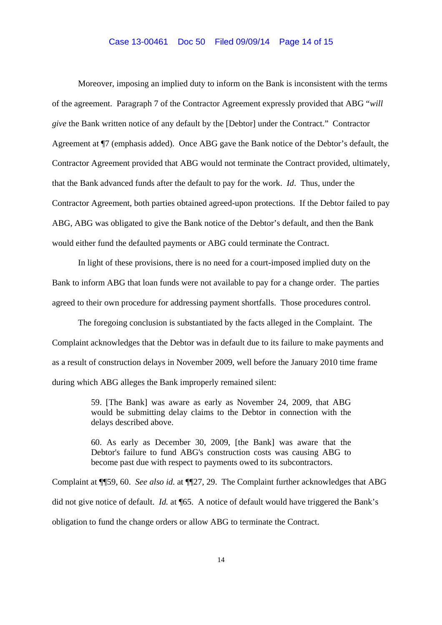# Case 13-00461 Doc 50 Filed 09/09/14 Page 14 of 15

Moreover, imposing an implied duty to inform on the Bank is inconsistent with the terms of the agreement. Paragraph 7 of the Contractor Agreement expressly provided that ABG "*will give* the Bank written notice of any default by the [Debtor] under the Contract." Contractor Agreement at ¶7 (emphasis added). Once ABG gave the Bank notice of the Debtor's default, the Contractor Agreement provided that ABG would not terminate the Contract provided, ultimately, that the Bank advanced funds after the default to pay for the work. *Id*. Thus, under the Contractor Agreement, both parties obtained agreed-upon protections. If the Debtor failed to pay ABG, ABG was obligated to give the Bank notice of the Debtor's default, and then the Bank would either fund the defaulted payments or ABG could terminate the Contract.

In light of these provisions, there is no need for a court-imposed implied duty on the Bank to inform ABG that loan funds were not available to pay for a change order. The parties agreed to their own procedure for addressing payment shortfalls. Those procedures control.

The foregoing conclusion is substantiated by the facts alleged in the Complaint. The Complaint acknowledges that the Debtor was in default due to its failure to make payments and as a result of construction delays in November 2009, well before the January 2010 time frame during which ABG alleges the Bank improperly remained silent:

> 59. [The Bank] was aware as early as November 24, 2009, that ABG would be submitting delay claims to the Debtor in connection with the delays described above.

> 60. As early as December 30, 2009, [the Bank] was aware that the Debtor's failure to fund ABG's construction costs was causing ABG to become past due with respect to payments owed to its subcontractors.

Complaint at ¶¶59, 60. *See also id.* at ¶¶27, 29. The Complaint further acknowledges that ABG did not give notice of default. *Id.* at ¶65. A notice of default would have triggered the Bank's obligation to fund the change orders or allow ABG to terminate the Contract.